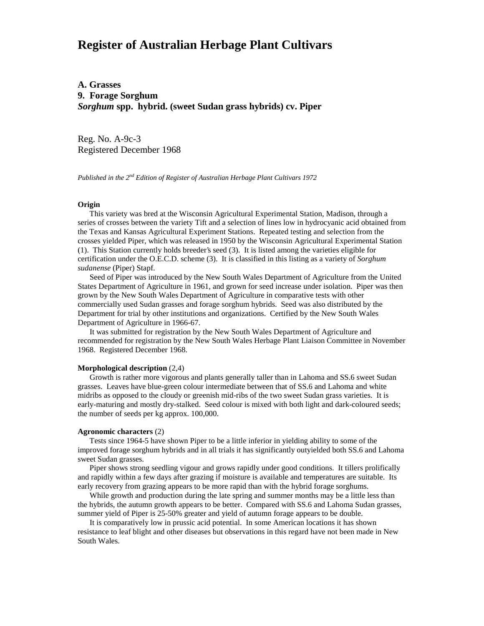# **Register of Australian Herbage Plant Cultivars**

**A. Grasses 9. Forage Sorghum** *Sorghum* **spp. hybrid. (sweet Sudan grass hybrids) cv. Piper**

Reg. No. A-9c-3 Registered December 1968

*Published in the 2nd Edition of Register of Australian Herbage Plant Cultivars 1972*

### **Origin**

 This variety was bred at the Wisconsin Agricultural Experimental Station, Madison, through a series of crosses between the variety Tift and a selection of lines low in hydrocyanic acid obtained from the Texas and Kansas Agricultural Experiment Stations. Repeated testing and selection from the crosses yielded Piper, which was released in 1950 by the Wisconsin Agricultural Experimental Station (1). This Station currently holds breeder's seed (3). It is listed among the varieties eligible for certification under the O.E.C.D. scheme (3). It is classified in this listing as a variety of *Sorghum sudanense* (Piper) Stapf.

 Seed of Piper was introduced by the New South Wales Department of Agriculture from the United States Department of Agriculture in 1961, and grown for seed increase under isolation. Piper was then grown by the New South Wales Department of Agriculture in comparative tests with other commercially used Sudan grasses and forage sorghum hybrids. Seed was also distributed by the Department for trial by other institutions and organizations. Certified by the New South Wales Department of Agriculture in 1966-67.

 It was submitted for registration by the New South Wales Department of Agriculture and recommended for registration by the New South Wales Herbage Plant Liaison Committee in November 1968. Registered December 1968.

#### **Morphological description** (2,4)

 Growth is rather more vigorous and plants generally taller than in Lahoma and SS.6 sweet Sudan grasses. Leaves have blue-green colour intermediate between that of SS.6 and Lahoma and white midribs as opposed to the cloudy or greenish mid-ribs of the two sweet Sudan grass varieties. It is early-maturing and mostly dry-stalked. Seed colour is mixed with both light and dark-coloured seeds; the number of seeds per kg approx. 100,000.

#### **Agronomic characters** (2)

 Tests since 1964-5 have shown Piper to be a little inferior in yielding ability to some of the improved forage sorghum hybrids and in all trials it has significantly outyielded both SS.6 and Lahoma sweet Sudan grasses.

 Piper shows strong seedling vigour and grows rapidly under good conditions. It tillers prolifically and rapidly within a few days after grazing if moisture is available and temperatures are suitable. Its early recovery from grazing appears to be more rapid than with the hybrid forage sorghums.

While growth and production during the late spring and summer months may be a little less than the hybrids, the autumn growth appears to be better. Compared with SS.6 and Lahoma Sudan grasses, summer yield of Piper is 25-50% greater and yield of autumn forage appears to be double.

 It is comparatively low in prussic acid potential. In some American locations it has shown resistance to leaf blight and other diseases but observations in this regard have not been made in New South Wales.